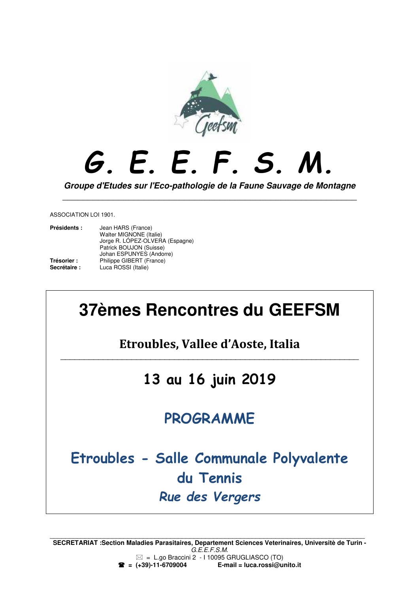

# *G. E. E. F. S. M.*

**Groupe d'Etudes sur l'Eco-pathologie de la Faune Sauvage de Montagne**  \_\_\_\_\_\_\_\_\_\_\_\_\_\_\_\_\_\_\_\_\_\_\_\_\_\_\_\_\_\_\_\_\_\_\_\_\_\_\_\_\_\_\_\_\_\_\_\_\_\_\_\_\_\_\_\_\_\_

ASSOCIATION LOI 1901.

| Présidents : | Jean HARS (France)<br>Walter MIGNONE (Italie)<br>Jorge R. LÓPEZ-OLVERA (Espagne) |
|--------------|----------------------------------------------------------------------------------|
|              | Patrick BOUJON (Suisse)                                                          |
|              | Johan ESPUNYES (Andorre)                                                         |
| Trésorier :  | Philippe GIBERT (France)                                                         |
| Secrétaire:  | Luca ROSSI (Italie)                                                              |

# **37èmes Rencontres du GEEFSM**

**Etroubles, Vallee d'Aoste, Italia**  $\mathcal{L}_\text{max} = \mathcal{L}_\text{max} = \mathcal{L}_\text{max} = \mathcal{L}_\text{max} = \mathcal{L}_\text{max} = \mathcal{L}_\text{max} = \mathcal{L}_\text{max} = \mathcal{L}_\text{max} = \mathcal{L}_\text{max} = \mathcal{L}_\text{max} = \mathcal{L}_\text{max} = \mathcal{L}_\text{max} = \mathcal{L}_\text{max} = \mathcal{L}_\text{max} = \mathcal{L}_\text{max} = \mathcal{L}_\text{max} = \mathcal{L}_\text{max} = \mathcal{L}_\text{max} = \mathcal{$ 

# **13 au 16 juin 2019**

# **PROGRAMME**

# **Etroubles - Salle Communale Polyvalente du Tennis**  *Rue des Vergers*

**SECRETARIAT :Section Maladies Parasitaires, Departement Sciences Veterinaires, Universitè de Turin -** G.E.E.F.S.M.  $\boxtimes$  = L.go Braccini 2 - I 10095 GRUGLIASCO (TO)<br>**2** = (+39)-11-6709004 **E-mail = luca.rossi**@u  **= (+39)-11-6709004 E-mail = luca.rossi@unito.it**

 $\mathcal{L}_\text{max}$  , and the contribution of the contribution of the contribution of the contribution of the contribution of the contribution of the contribution of the contribution of the contribution of the contribution of t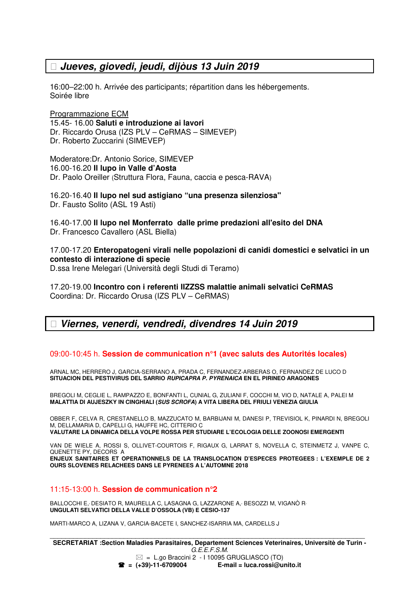### **Jueves, giovedi, jeudi, dijòus 13 Juin 2019**

16:00–22:00 h. Arrivée des participants; répartition dans les hébergements. Soirée libre

Programmazione ECM 15.45- 16.00 **Saluti e introduzione ai lavori** Dr. Riccardo Orusa (IZS PLV – CeRMAS – SIMEVEP) Dr. Roberto Zuccarini (SIMEVEP)

Moderatore:Dr. Antonio Sorice, SIMEVEP 16.00-16.20 **Il lupo in Valle d'Aosta**  Dr. Paolo Oreiller (Struttura Flora, Fauna, caccia e pesca-RAVA)

16.20-16.40 **Il lupo nel sud astigiano "una presenza silenziosa"** Dr. Fausto Solito (ASL 19 Asti)

16.40-17.00 **Il lupo nel Monferrato dalle prime predazioni all'esito del DNA** Dr. Francesco Cavallero (ASL Biella)

17.00-17.20 **Enteropatogeni virali nelle popolazioni di canidi domestici e selvatici in un contesto di interazione di specie**

D.ssa Irene Melegari (Università degli Studi di Teramo)

17.20-19.00 **Incontro con i referenti IIZZSS malattie animali selvatici CeRMAS** Coordina: Dr. Riccardo Orusa (IZS PLV – CeRMAS)

## **Viernes, venerdi, vendredi, divendres 14 Juin 2019**

### 09:00-10:45 h. **Session de communication n°1 (avec saluts des Autorités locales)**

ARNAL MC, HERRERO J, GARCIA-SERRANO A, PRADA C, FERNANDEZ-ARBERAS O, FERNANDEZ DE LUCO D **SITUACION DEL PESTIVIRUS DEL SARRIO RUPICAPRA P. PYRENAICA EN EL PIRINEO ARAGONES** 

BREGOLI M, CEGLIE L, RAMPAZZO E, BONFANTI L, CUNIAL G, ZULIANI F, COCCHI M, VIO D, NATALE A, PALEI M **MALATTIA DI AUJESZKY IN CINGHIALI (SUS SCROFA) A VITA LIBERA DEL FRIULI VENEZIA GIULIA** 

OBBER F, CELVA R, CRESTANELLO B, MAZZUCATO M, BARBIJANI M, DANESI P, TREVISIOL K, PINARDI N, BREGOLI M, DELLAMARIA D, CAPELLI G, HAUFFE HC, CITTERIO C **VALUTARE LA DINAMICA DELLA VOLPE ROSSA PER STUDIARE L'ECOLOGIA DELLE ZOONOSI EMERGENTI** 

VAN DE WIELE A, ROSSI S, OLLIVET-COURTOIS F, RIGAUX G, LARRAT S, NOVELLA C, STEINMETZ J, VANPE C, QUENETTE PY, DECORS A **ENJEUX SANITAIRES ET OPERATIONNELS DE LA TRANSLOCATION D'ESPECES PROTEGEES : L'EXEMPLE DE 2 OURS SLOVENES RELACHEES DANS LE PYRENEES A L'AUTOMNE 2018** 

### 11:15-13:00 h. **Session de communication n°2**

BALLOCCHI E, DESIATO R, MAURELLA C, LASAGNA G, LAZZARONE A, BESOZZI M, VIGANÒ R<sub>'</sub> **UNGULATI SELVATICI DELLA VALLE D'OSSOLA (VB) E CESIO-137** 

MARTI-MARCO A, LIZANA V, GARCIA-BACETE I, SANCHEZ-ISARRIA MA, CARDELLS J

 $\mathcal{L}_\text{max}$  , and the contribution of the contribution of the contribution of the contribution of the contribution of the contribution of the contribution of the contribution of the contribution of the contribution of t **SECRETARIAT :Section Maladies Parasitaires, Departement Sciences Veterinaires, Universitè de Turin -** G.E.E.F.S.M.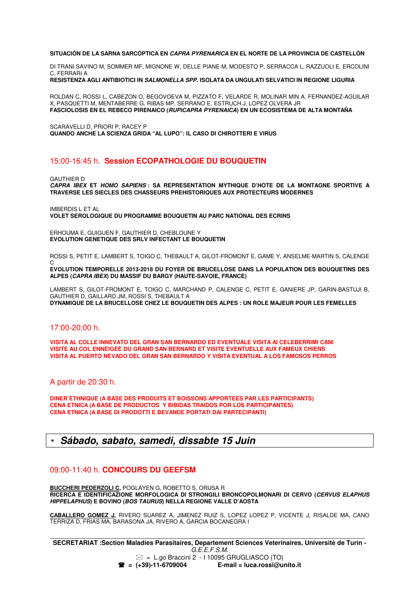#### **SITUACIÓN DE LA SARNA SARCÓPTICA EN CAPRA PYRENARICA EN EL NORTE DE LA PROVINCIA DE CASTELLÓN**

DI TRANI SAVINO M, SOMMER MF, MIGNONE W, DELLE PIANE M, MODESTO P, SERRACCA L, RAZZUOLI E, ERCOLINI C, FERRARI A

**RESISTENZA AGLI ANTIBIOTICI IN SALMONELLA SPP. ISOLATA DA UNGULATI SELVATICI IN REGIONE LIGURIA** 

ROLDAN C, ROSSI L, CABEZON O, BEGOVOEVA M, PIZZATO F, VELARDE R, MOLINAR MIN A, FERNANDEZ-AGUILAR X, PASQUETTI M, MENTABERRE G, RIBAS MP, SERRANO E, ESTRUCH J, LOPEZ OLVERA JR **FASCIOLOSIS EN EL REBECO PIRENAICO (RUPICAPRA PYRENAICA) EN UN ECOSISTEMA DE ALTA MONTAÑA** 

SCARAVELLI D, PRIORI P, RACEY P **QUANDO ANCHE LA SCIENZA GRIDA "AL LUPO": IL CASO DI CHIROTTERI E VIRUS** 

#### 15:00-16:45 h. **Session ECOPATHOLOGIE DU BOUQUETIN**

GAUTHIER D

**CAPRA IBEX ET HOMO SAPIENS : SA REPRESENTATION MYTHIQUE D'HOTE DE LA MONTAGNE SPORTIVE A TRAVERSE LES SIECLES DES CHASSEURS PREHISTORIQUES AUX PROTECTEURS MODERNES** 

IMBERDIS L ET AL **VOLET SEROLOGIQUE DU PROGRAMME BOUQUETIN AU PARC NATIONAL DES ECRINS** 

ERHOUMA E, GUIGUEN F, GAUTHIER D, CHEBLOUNE Y **EVOLUTION GENETIQUE DES SRLV INFECTANT LE BOUQUETIN**

ROSSI S, PETIT E, LAMBERT S, TOIGO C, THEBAULT A, GILOT-FROMONT E, GAME Y, ANSELME-MARTIN S, CALENGE

C **EVOLUTION TEMPORELLE 2013-2018 DU FOYER DE BRUCELLOSE DANS LA POPULATION DES BOUQUETINS DES ALPES (CAPRA IBEX) DU MASSIF DU BARGY (HAUTE-SAVOIE, FRANCE)** 

LAMBERT S, GILOT-FROMONT E, TOIGO C, MARCHAND P, CALENGE C, PETIT E, GANIERE JP, GARIN-BASTUJI B, GAUTHIER D, GAILLARD JM, ROSSI S, THEBAULT A **DYNAMIQUE DE LA BRUCELLOSE CHEZ LE BOUQUETIN DES ALPES : UN ROLE MAJEUR POUR LES FEMELLES** 

#### 17:00-20:00 h.

**VISITA AL COLLE INNEVATO DEL GRAN SAN BERNARDO ED EVENTUALE VISITA AI CELEBERRIMI CANI VISITE AU COL ENNEIGEE DU GRAND SAN BERNARD ET VISITE EVENTUELLE AUX FAMEUX CHIENS VISITA AL PUERTO NEVADO DEL GRAN SAN BERNARDO Y VISITA EVENTUAL A LOS FAMOSOS PERROS** 

A partir de 20:30 h.

**DINER ETHNIQUE (A BASE DES PRODUITS ET BOISSONS APPORTEES PAR LES PARTICIPANTS) CENA ETNICA (A BASE DE PRODUCTOS Y BIBIDAS TRAIDOS POR LOS PARTICIPANTES) CENA ETNICA (A BASE DI PRODOTTI E BEVANDE PORTATI DAI PARTECIPANTI)** 

### **Sábado, sabato, samedi, dissabte 15 Juin**

#### 09:00-11:40 h. **CONCOURS DU GEEFSM**

**BUCCHERI PEDERZOLI C,** POGLAYEN G, ROBETTO S, ORUSA R **RICERCA E IDENTIFICAZIONE MORFOLOGICA DI STRONGILI BRONCOPOLMONARI DI CERVO (CERVUS ELAPHUS HIPPELAPHUS) E BOVINO (BOS TAURUS) NELLA REGIONE VALLE D'AOSTA** 

**CABALLERO GOMEZ J,** RIVERO SUAREZ A, JIMENEZ RUIZ S, LOPEZ LOPEZ P, VICENTE J, RISALDE MA, CANO TERRIZA D, FRIAS MA, BARASONA JA, RIVERO A, GARCIA BOCANEGRA I

 $\mathcal{L}_\text{max}$  , and the contribution of the contribution of the contribution of the contribution of the contribution of the contribution of the contribution of the contribution of the contribution of the contribution of t **SECRETARIAT :Section Maladies Parasitaires, Departement Sciences Veterinaires, Universitè de Turin -** G.E.E.F.S.M.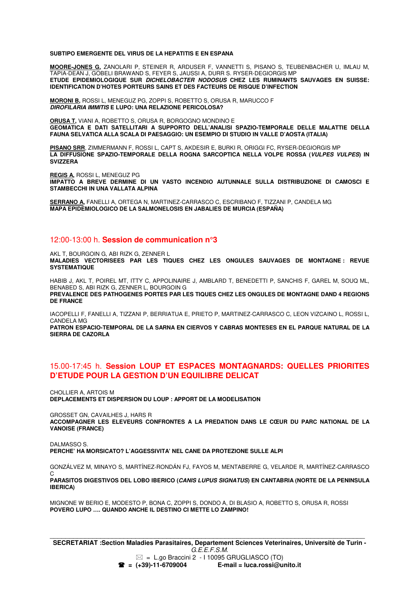**SUBTIPO EMERGENTE DEL VIRUS DE LA HEPATITIS E EN ESPANA** 

**MOORE-JONES G,** ZANOLARI P, STEINER R, ARDUSER F, VANNETTI S, PISANO S, TEUBENBACHER U, IMLAU M, TAPIA-DEAN J, GOBELI BRAWAND S, FEYER S, JAUSSI A, DURR S. RYSER-DEGIORGIS MP **ETUDE EPIDEMIOLOGIQUE SUR DICHELOBACTER NODOSUS CHEZ LES RUMINANTS SAUVAGES EN SUISSE: IDENTIFICATION D'HOTES PORTEURS SAINS ET DES FACTEURS DE RISQUE D'INFECTION** 

**MORONI B,** ROSSI L, MENEGUZ PG, ZOPPI S, ROBETTO S, ORUSA R, MARUCCO F **DIROFILARIA IMMITIS E LUPO: UNA RELAZIONE PERICOLOSA?** 

**ORUSA T,** VIANI A, ROBETTO S, ORUSA R, BORGOGNO MONDINO E **GEOMATICA E DATI SATELLITARI A SUPPORTO DELL'ANALISI SPAZIO-TEMPORALE DELLE MALATTIE DELLA FAUNA SELVATICA ALLA SCALA DI PAESAGGIO: UN ESEMPIO DI STUDIO IN VALLE D'AOSTA (ITALIA)** 

**PISANO SRR**, ZIMMERMANN F, ROSSI L, CAPT S, AKDESIR E, BURKI R, ORIGGI FC, RYSER-DEGIORGIS MP **LA DIFFUSIONE SPAZIO-TEMPORALE DELLA ROGNA SARCOPTICA NELLA VOLPE ROSSA (VULPES VULPES) IN SVIZZERA** 

**REGIS A,** ROSSI L, MENEGUZ PG **IMPATTO A BREVE DERMINE DI UN VASTO INCENDIO AUTUNNALE SULLA DISTRIBUZIONE DI CAMOSCI E STAMBECCHI IN UNA VALLATA ALPINA** 

**SERRANO A,** FANELLI A, ORTEGA N, MARTINEZ-CARRASCO C, ESCRIBANO F, TIZZANI P, CANDELA MG **MAPA EPIDEMIOLOGICO DE LA SALMONELOSIS EN JABALIES DE MURCIA (ESPAÑA)**

#### 12:00-13:00 h. **Session de communication n°3**

AKL T, BOURGOIN G, ABI RIZK G, ZENNER L

**MALADIES VECTORISEES PAR LES TIQUES CHEZ LES ONGULES SAUVAGES DE MONTAGNE : REVUE SYSTEMATIQUE** 

HABIB J, AKL T, POIREL MT, ITTY C, APPOLINAIRE J, AMBLARD T, BENEDETTI P, SANCHIS F, GAREL M, SOUQ ML, BENABED S, ABI RIZK G, ZENNER L, BOURGOIN G **PREVALENCE DES PATHOGENES PORTES PAR LES TIQUES CHEZ LES ONGULES DE MONTAGNE DAND 4 REGIONS DE FRANCE** 

IACOPELLI F, FANELLI A, TIZZANI P, BERRIATUA E, PRIETO P, MARTINEZ-CARRASCO C, LEON VIZCAINO L, ROSSI L, CANDELA MG

**PATRON ESPACIO-TEMPORAL DE LA SARNA EN CIERVOS Y CABRAS MONTESES EN EL PARQUE NATURAL DE LA SIERRA DE CAZORLA** 

#### 15.00-17:45 h. **Session LOUP ET ESPACES MONTAGNARDS: QUELLES PRIORITES D'ETUDE POUR LA GESTION D'UN EQUILIBRE DELICAT**

CHOLLIER A, ARTOIS M **DEPLACEMENTS ET DISPERSION DU LOUP : APPORT DE LA MODELISATION** 

GROSSET GN, CAVAILHES J, HARS R **ACCOMPAGNER LES ELEVEURS CONFRONTES A LA PREDATION DANS LE CŒUR DU PARC NATIONAL DE LA VANOISE (FRANCE)** 

DALMASSO S. **PERCHE' HA MORSICATO? L'AGGESSIVITA' NEL CANE DA PROTEZIONE SULLE ALPI** 

GONZÁLVEZ M, MINAYO S, MARTÍNEZ-RONDÁN FJ, FAYOS M, MENTABERRE G, VELARDE R, MARTÍNEZ-CARRASCO  $\Omega$ **PARASITOS DIGESTIVOS DEL LOBO IBERICO (CANIS LUPUS SIGNATUS) EN CANTABRIA (NORTE DE LA PENINSULA IBERICA)** 

MIGNONE W BERIO E, MODESTO P, BONA C, ZOPPI S, DONDO A, DI BLASIO A, ROBETTO S, ORUSA R, ROSSI **POVERO LUPO …. QUANDO ANCHE IL DESTINO CI METTE LO ZAMPINO!**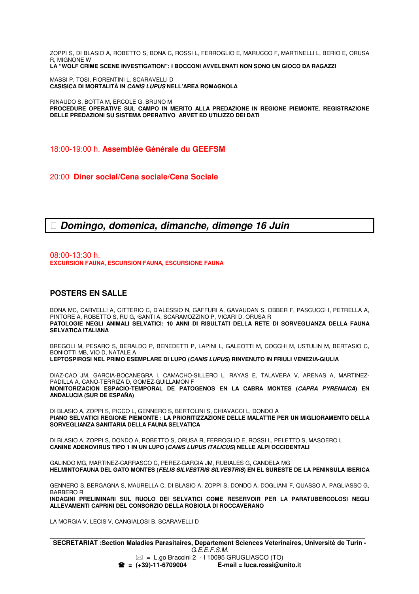ZOPPI S, DI BLASIO A, ROBETTO S, BONA C, ROSSI L, FERROGLIO E, MARUCCO F, MARTINELLI L, BERIO E, ORUSA R, MIGNONE W **LA "WOLF CRIME SCENE INVESTIGATION": I BOCCONI AVVELENATI NON SONO UN GIOCO DA RAGAZZI** 

MASSI P, TOSI, FIORENTINI L, SCARAVELLI D **CASISICA DI MORTALITÀ IN CANIS LUPUS NELL'AREA ROMAGNOLA** 

RINAUDO S, BOTTA M, ERCOLE G, BRUNO M **PROCEDURE OPERATIVE SUL CAMPO IN MERITO ALLA PREDAZIONE IN REGIONE PIEMONTE. REGISTRAZIONE DELLE PREDAZIONI SU SISTEMA OPERATIVO ARVET ED UTILIZZO DEI DATI** 

18:00-19:00 h. **Assemblée Générale du GEEFSM** 

20:00 **Diner social/Cena sociale/Cena Sociale** 

**Domingo, domenica, dimanche, dimenge 16 Juin**

08:00-13:30 h. **EXCURSION FAUNA, ESCURSION FAUNA, ESCURSIONE FAUNA**

#### **POSTERS EN SALLE**

BONA MC, CARVELLI A, CITTERIO C, D'ALESSIO N, GAFFURI A, GAVAUDAN S, OBBER F, PASCUCCI I, PETRELLA A, PINTORE A, ROBETTO S, RU G, SANTI A, SCARAMOZZINO P, VICARI D, ORUSA R **PATOLOGIE NEGLI ANIMALI SELVATICI: 10 ANNI DI RISULTATI DELLA RETE DI SORVEGLIANZA DELLA FAUNA SELVATICA ITALIANA** 

BREGOLI M, PESARO S, BERALDO P, BENEDETTI P, LAPINI L, GALEOTTI M, COCCHI M, USTULIN M, BERTASIO C, BONIOTTI MB, VIO D, NATALE A **LEPTOSPIROSI NEL PRIMO ESEMPLARE DI LUPO (CANIS LUPUS) RINVENUTO IN FRIULI VENEZIA-GIULIA** 

DIAZ-CAO JM, GARCIA-BOCANEGRA I, CAMACHO-SILLERO L, RAYAS E, TALAVERA V, ARENAS A, MARTINEZ-PADILLA A, CANO-TERRIZA D, GOMEZ-GUILLAMON F **MONITORIZACION ESPACIO-TEMPORAL DE PATOGENOS EN LA CABRA MONTES (CAPRA PYRENAICA) EN ANDALUCIA (SUR DE ESPAÑA)**

DI BLASIO A, ZOPPI S, PICCO L, GENNERO S, BERTOLINI S, CHIAVACCI L, DONDO A **PIANO SELVATICI REGIONE PIEMONTE : LA PRIORITIZZAZIONE DELLE MALATTIE PER UN MIGLIORAMENTO DELLA SORVEGLIANZA SANITARIA DELLA FAUNA SELVATICA**

DI BLASIO A, ZOPPI S, DONDO A, ROBETTO S, ORUSA R, FERROGLIO E, ROSSI L, PELETTO S, MASOERO L **CANINE ADENOVIRUS TIPO 1 IN UN LUPO (CANIS LUPUS ITALICUS) NELLE ALPI OCCIDENTALI** 

GALINDO MG, MARTINEZ-CARRASCO C, PEREZ-GARCIA JM, RUBIALES G, CANDELA MG **HELMINTOFAUNA DEL GATO MONTES (FELIS SILVESTRIS SILVESTRIS) EN EL SURESTE DE LA PENINSULA IBERICA** 

GENNERO S, BERGAGNA S, MAURELLA C, DI BLASIO A, ZOPPI S, DONDO A, DOGLIANI F, QUASSO A, PAGLIASSO G, BARBERO R

**INDAGINI PRELIMINARI SUL RUOLO DEI SELVATICI COME RESERVOIR PER LA PARATUBERCOLOSI NEGLI ALLEVAMENTI CAPRINI DEL CONSORZIO DELLA ROBIOLA DI ROCCAVERANO**

LA MORGIA V, LECIS V, CANGIALOSI B, SCARAVELLI D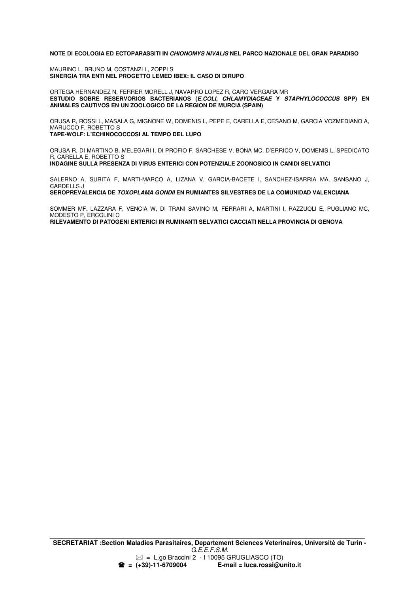#### **NOTE DI ECOLOGIA ED ECTOPARASSITI IN CHIONOMYS NIVALIS NEL PARCO NAZIONALE DEL GRAN PARADISO**

MAURINO L, BRUNO M, COSTANZI L, ZOPPI S **SINERGIA TRA ENTI NEL PROGETTO LEMED IBEX: IL CASO DI DIRUPO** 

ORTEGA HERNANDEZ N, FERRER MORELL J, NAVARRO LOPEZ R, CARO VERGARA MR **ESTUDIO SOBRE RESERVORIOS BACTERIANOS (E.COLI, CHLAMYDIACEAE Y STAPHYLOCOCCUS SPP) EN ANIMALES CAUTIVOS EN UN ZOOLOGICO DE LA REGION DE MURCIA (SPAIN)** 

ORUSA R, ROSSI L, MASALA G, MIGNONE W, DOMENIS L, PEPE E, CARELLA E, CESANO M, GARCIA VOZMEDIANO A, MARUCCO F, ROBETTO S **TAPE-WOLF: L'ECHINOCOCCOSI AL TEMPO DEL LUPO** 

ORUSA R, DI MARTINO B, MELEGARI I, DI PROFIO F, SARCHESE V, BONA MC, D'ERRICO V, DOMENIS L, SPEDICATO R, CARELLA E, ROBETTO S **INDAGINE SULLA PRESENZA DI VIRUS ENTERICI CON POTENZIALE ZOONOSICO IN CANIDI SELVATICI** 

SALERNO A, SURITA F, MARTI-MARCO A, LIZANA V, GARCIA-BACETE I, SANCHEZ-ISARRIA MA, SANSANO J, CARDELLS J

**SEROPREVALENCIA DE TOXOPLAMA GONDII EN RUMIANTES SILVESTRES DE LA COMUNIDAD VALENCIANA**

SOMMER MF, LAZZARA F, VENCIA W, DI TRANI SAVINO M, FERRARI A, MARTINI I, RAZZUOLI E, PUGLIANO MC, MODESTO P, ERCOLINI C **RILEVAMENTO DI PATOGENI ENTERICI IN RUMINANTI SELVATICI CACCIATI NELLA PROVINCIA DI GENOVA**

 $\mathcal{L}_\text{max}$  , and the contribution of the contribution of the contribution of the contribution of the contribution of the contribution of the contribution of the contribution of the contribution of the contribution of t **SECRETARIAT :Section Maladies Parasitaires, Departement Sciences Veterinaires, Universitè de Turin -** G.E.E.F.S.M.  $\mathbb{Z}$  = L.go Braccini 2 - I 10095 GRUGLIASCO (TO)  **= (+39)-11-6709004 E-mail = luca.rossi@unito.it**